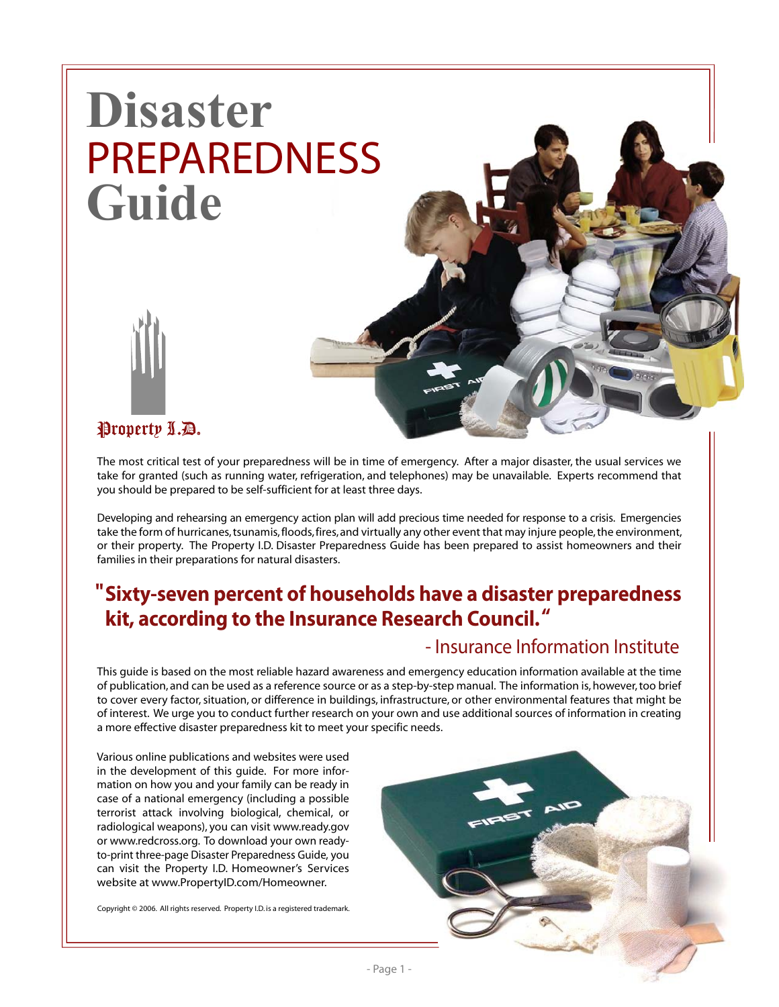# **Disaster** PREPAREDNESS **Guide**





## Property L.D.

The most critical test of your preparedness will be in time of emergency. After a major disaster, the usual services we take for granted (such as running water, refrigeration, and telephones) may be unavailable. Experts recommend that you should be prepared to be self-sufficient for at least three days.

Developing and rehearsing an emergency action plan will add precious time needed for response to a crisis. Emergencies take the form of hurricanes, tsunamis, floods, fires, and virtually any other event that may injure people, the environment, or their property. The Property I.D. Disaster Preparedness Guide has been prepared to assist homeowners and their families in their preparations for natural disasters.

## **Sixty-seven percent of households have a disaster preparedness " kit, according to the Insurance Research Council. "**

### - Insurance Information Institute

This guide is based on the most reliable hazard awareness and emergency education information available at the time of publication, and can be used as a reference source or as a step-by-step manual. The information is, however, too brief to cover every factor, situation, or difference in buildings, infrastructure, or other environmental features that might be of interest. We urge you to conduct further research on your own and use additional sources of information in creating a more effective disaster preparedness kit to meet your specific needs.

Various online publications and websites were used in the development of this guide. For more information on how you and your family can be ready in case of a national emergency (including a possible terrorist attack involving biological, chemical, or radiological weapons), you can visit www.ready.gov or www.redcross.org. To download your own readyto-print three-page Disaster Preparedness Guide, you can visit the Property I.D. Homeowner's Services website at www.PropertyID.com/Homeowner.

Copyright © 2006. All rights reserved. Property I.D. is a registered trademark.

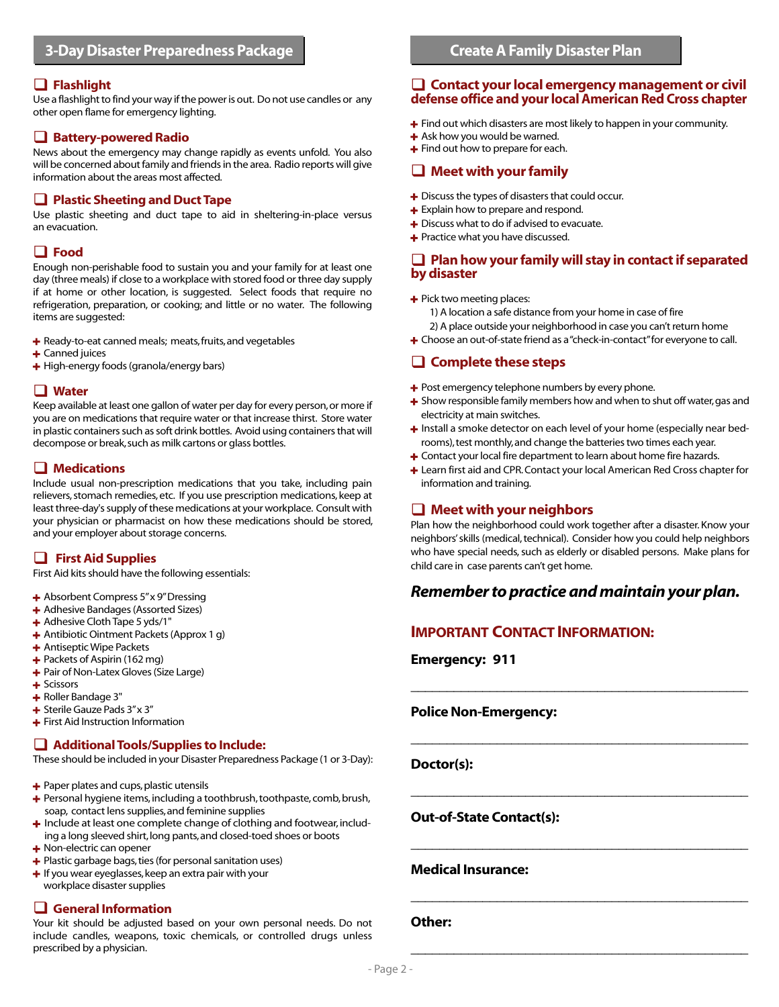#### **Flashlight**

Use a flashlight to find your way if the power is out. Do not use candles or any other open flame for emergency lighting.

#### **Battery-powered Radio**

News about the emergency may change rapidly as events unfold. You also will be concerned about family and friends in the area. Radio reports will give information about the areas most affected.

#### **Plastic Sheeting and Duct Tape**

Use plastic sheeting and duct tape to aid in sheltering-in-place versus an evacuation.

#### **Food**

Enough non-perishable food to sustain you and your family for at least one day (three meals) if close to a workplace with stored food or three day supply if at home or other location, is suggested. Select foods that require no refrigeration, preparation, or cooking; and little or no water. The following items are suggested:

- + Ready-to-eat canned meals; meats, fruits, and vegetables
- $+$  Canned juices
- $+$  High-energy foods (granola/energy bars)

#### **Water**

Keep available at least one gallon of water per day for every person, or more if you are on medications that require water or that increase thirst. Store water in plastic containers such as soft drink bottles. Avoid using containers that will decompose or break, such as milk cartons or glass bottles.

#### **Medications**

Include usual non-prescription medications that you take, including pain relievers, stomach remedies, etc. If you use prescription medications, keep at least three-day's supply of these medications at your workplace. Consult with your physician or pharmacist on how these medications should be stored, and your employer about storage concerns.

#### **First Aid Supplies**

First Aid kits should have the following essentials:

- + Absorbent Compress 5" x 9" Dressing
- + Adhesive Bandages (Assorted Sizes)
- + Adhesive Cloth Tape 5 yds/1"
- + Antibiotic Ointment Packets (Approx 1 g)
- + Antiseptic Wipe Packets
- $+$  Packets of Aspirin (162 mg)
- + Pair of Non-Latex Gloves (Size Large)
- + Scissors
- + Roller Bandage 3"
- + Sterile Gauze Pads 3" x 3"
- + First Aid Instruction Information

#### **Additional Tools/Supplies to Include:**

These should be included in your Disaster Preparedness Package (1 or 3-Day):

- + Paper plates and cups, plastic utensils
- + Personal hygiene items, including a toothbrush, toothpaste, comb, brush, soap, contact lens supplies, and feminine supplies
- + Include at least one complete change of clothing and footwear, including a long sleeved shirt, long pants, and closed-toed shoes or boots
- + Non-electric can opener
- + Plastic garbage bags, ties (for personal sanitation uses)
- $+$  If you wear eyeglasses, keep an extra pair with your workplace disaster supplies

#### **General Information**

Your kit should be adjusted based on your own personal needs. Do not include candles, weapons, toxic chemicals, or controlled drugs unless prescribed by a physician.

#### **Contact your local emergency management or civil defense office and your local American Red Cross chapter**

- $+$  Find out which disasters are most likely to happen in your community.
- $+$  Ask how you would be warned.
- $+$  Find out how to prepare for each.

#### **Meet with your family**

- $+$  Discuss the types of disasters that could occur.
- + Explain how to prepare and respond.
- + Discuss what to do if advised to evacuate.
- + Practice what you have discussed.

#### **Plan how your family will stay in contact if separated by disaster**

- + Pick two meeting places:
	- 1) A location a safe distance from your home in case of fire
	- 2) A place outside your neighborhood in case you can't return home
- + Choose an out-of-state friend as a "check-in-contact" for everyone to call.

#### **Complete these steps**

- $+$  Post emergency telephone numbers by every phone.
- $+$  Show responsible family members how and when to shut off water, gas and electricity at main switches.
- + Install a smoke detector on each level of your home (especially near bedrooms), test monthly, and change the batteries two times each year.
- + Contact your local fire department to learn about home fire hazards.
- + Learn first aid and CPR. Contact your local American Red Cross chapter for information and training.

#### **Meet with your neighbors**

Plan how the neighborhood could work together after a disaster. Know your neighbors' skills (medical, technical). Consider how you could help neighbors who have special needs, such as elderly or disabled persons. Make plans for child care in case parents can't get home.

#### *Remember to practice and maintain your plan.*

**\_\_\_\_\_\_\_\_\_\_\_\_\_\_\_\_\_\_\_\_\_\_\_\_\_\_\_\_\_\_\_\_\_\_\_\_\_\_\_\_\_\_\_\_\_\_\_**

**\_\_\_\_\_\_\_\_\_\_\_\_\_\_\_\_\_\_\_\_\_\_\_\_\_\_\_\_\_\_\_\_\_\_\_\_\_\_\_\_\_\_\_\_\_\_\_**

**\_\_\_\_\_\_\_\_\_\_\_\_\_\_\_\_\_\_\_\_\_\_\_\_\_\_\_\_\_\_\_\_\_\_\_\_\_\_\_\_\_\_\_\_\_\_\_**

**\_\_\_\_\_\_\_\_\_\_\_\_\_\_\_\_\_\_\_\_\_\_\_\_\_\_\_\_\_\_\_\_\_\_\_\_\_\_\_\_\_\_\_\_\_\_\_**

**\_\_\_\_\_\_\_\_\_\_\_\_\_\_\_\_\_\_\_\_\_\_\_\_\_\_\_\_\_\_\_\_\_\_\_\_\_\_\_\_\_\_\_\_\_\_\_**

**\_\_\_\_\_\_\_\_\_\_\_\_\_\_\_\_\_\_\_\_\_\_\_\_\_\_\_\_\_\_\_\_\_\_\_\_\_\_\_\_\_\_\_\_\_\_\_**

#### **IMPORTANT CONTACT INFORMATION:**

**Emergency: 911**

#### **Police Non-Emergency:**

**Doctor(s):**

#### **Out-of-State Contact(s):**

#### **Medical Insurance:**

#### **Other:**